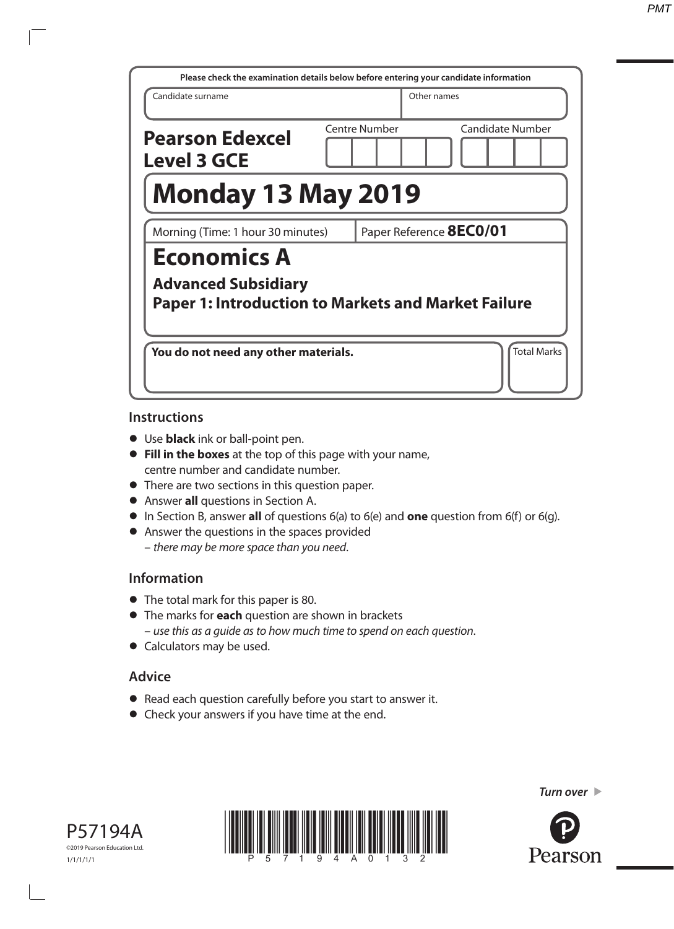| Please check the examination details below before entering your candidate information |               |                                |  |  |  |  |
|---------------------------------------------------------------------------------------|---------------|--------------------------------|--|--|--|--|
| Candidate surname                                                                     |               | Other names                    |  |  |  |  |
|                                                                                       | Centre Number | <b>Candidate Number</b>        |  |  |  |  |
| <b>Pearson Edexcel</b>                                                                |               |                                |  |  |  |  |
| <b>Level 3 GCE</b>                                                                    |               |                                |  |  |  |  |
|                                                                                       |               |                                |  |  |  |  |
| <b>Monday 13 May 2019</b>                                                             |               |                                |  |  |  |  |
| Morning (Time: 1 hour 30 minutes)                                                     |               | Paper Reference <b>8EC0/01</b> |  |  |  |  |
| <b>Economics A</b>                                                                    |               |                                |  |  |  |  |
| <b>Advanced Subsidiary</b>                                                            |               |                                |  |  |  |  |
| <b>Paper 1: Introduction to Markets and Market Failure</b>                            |               |                                |  |  |  |  |
|                                                                                       |               |                                |  |  |  |  |
|                                                                                       |               |                                |  |  |  |  |
| You do not need any other materials.                                                  |               | <b>Total Marks</b>             |  |  |  |  |
|                                                                                       |               |                                |  |  |  |  |
|                                                                                       |               |                                |  |  |  |  |

#### **Instructions**

- **•** Use **black** ink or ball-point pen.
- **• Fill in the boxes** at the top of this page with your name, centre number and candidate number.
- **•** There are two sections in this question paper.
- **•** Answer **all** questions in Section A.
- **•** In Section B, answer **all** of questions 6(a) to 6(e) and **one** question from 6(f) or 6(g).
- **•** Answer the questions in the spaces provided

– *there may be more space than you need*.

#### **Information**

- **•** The total mark for this paper is 80.
- **•** The marks for **each** question are shown in brackets – *use this as a guide as to how much time to spend on each question*.
- **•** Calculators may be used.

#### **Advice**

- **•** Read each question carefully before you start to answer it.
- **•** Check your answers if you have time at the end.





*Turn over* 

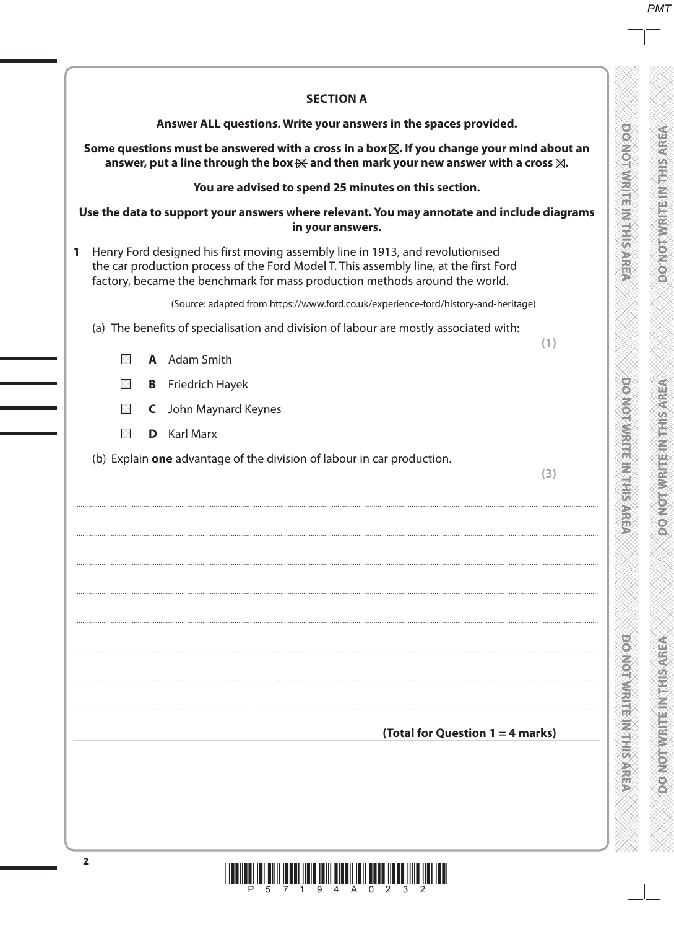| Contractor Contractor                                                                                          |
|----------------------------------------------------------------------------------------------------------------|
|                                                                                                                |
|                                                                                                                |
|                                                                                                                |
| )<br>D                                                                                                         |
|                                                                                                                |
|                                                                                                                |
|                                                                                                                |
|                                                                                                                |
|                                                                                                                |
|                                                                                                                |
|                                                                                                                |
|                                                                                                                |
|                                                                                                                |
|                                                                                                                |
|                                                                                                                |
|                                                                                                                |
|                                                                                                                |
|                                                                                                                |
| i<br>S                                                                                                         |
|                                                                                                                |
|                                                                                                                |
|                                                                                                                |
|                                                                                                                |
|                                                                                                                |
|                                                                                                                |
|                                                                                                                |
|                                                                                                                |
|                                                                                                                |
|                                                                                                                |
|                                                                                                                |
|                                                                                                                |
|                                                                                                                |
|                                                                                                                |
|                                                                                                                |
|                                                                                                                |
|                                                                                                                |
| NASA SA TANGGUNA SA TANGGUNAK TANGGUNAK TANGGUNAK TANGGUNAK TANGGUNAK TANGGUNAK DAN PANGGUNAK TANGGUNAK TANGGU |
|                                                                                                                |
|                                                                                                                |
|                                                                                                                |
|                                                                                                                |
|                                                                                                                |
| $\overline{\phantom{0}}$                                                                                       |
|                                                                                                                |
|                                                                                                                |
|                                                                                                                |
|                                                                                                                |
| Ş                                                                                                              |
|                                                                                                                |
| $\left\langle \right\rangle$                                                                                   |
|                                                                                                                |
|                                                                                                                |
|                                                                                                                |
|                                                                                                                |
|                                                                                                                |
|                                                                                                                |
|                                                                                                                |
| <b>Contract of the State</b>                                                                                   |
|                                                                                                                |
|                                                                                                                |
|                                                                                                                |
|                                                                                                                |
|                                                                                                                |
|                                                                                                                |
|                                                                                                                |
|                                                                                                                |
|                                                                                                                |
|                                                                                                                |
|                                                                                                                |
|                                                                                                                |
| イース 不安の                                                                                                        |
|                                                                                                                |
|                                                                                                                |
|                                                                                                                |
|                                                                                                                |
|                                                                                                                |
| )<br>S                                                                                                         |
|                                                                                                                |
| ī                                                                                                              |
| Š                                                                                                              |
|                                                                                                                |
|                                                                                                                |
|                                                                                                                |
|                                                                                                                |
|                                                                                                                |
|                                                                                                                |
|                                                                                                                |
|                                                                                                                |
|                                                                                                                |
|                                                                                                                |
|                                                                                                                |
| $\hat{\mathbb{X}}$<br>į                                                                                        |
| l<br>Š,                                                                                                        |
|                                                                                                                |
| Ş<br>į                                                                                                         |
| į                                                                                                              |
|                                                                                                                |
| $\ddot{\phantom{a}}$                                                                                           |
|                                                                                                                |
| Ş                                                                                                              |
| Ş<br>×                                                                                                         |
|                                                                                                                |
| Š                                                                                                              |
|                                                                                                                |
|                                                                                                                |
| )<br>Dr                                                                                                        |
|                                                                                                                |
|                                                                                                                |
| Ĥ                                                                                                              |
|                                                                                                                |
|                                                                                                                |
|                                                                                                                |
|                                                                                                                |
|                                                                                                                |
| H<br>Samura                                                                                                    |
|                                                                                                                |
|                                                                                                                |
| d<br>K                                                                                                         |
|                                                                                                                |
|                                                                                                                |
| )<br>Control<br>Ş                                                                                              |
|                                                                                                                |
|                                                                                                                |
|                                                                                                                |
|                                                                                                                |
|                                                                                                                |
|                                                                                                                |
|                                                                                                                |
| ふく スページこく                                                                                                      |
| į                                                                                                              |
| ĺ<br>Ì                                                                                                         |
| į<br>ä                                                                                                         |
|                                                                                                                |
|                                                                                                                |
|                                                                                                                |
|                                                                                                                |
|                                                                                                                |
|                                                                                                                |
|                                                                                                                |

|              |   | <b>SECTION A</b>                                                                                                                                                                                                                                       |     |
|--------------|---|--------------------------------------------------------------------------------------------------------------------------------------------------------------------------------------------------------------------------------------------------------|-----|
|              |   | Answer ALL questions. Write your answers in the spaces provided.                                                                                                                                                                                       |     |
|              |   | Some questions must be answered with a cross in a box $\boxtimes$ . If you change your mind about an<br>answer, put a line through the box $\boxtimes$ and then mark your new answer with a cross $\boxtimes$ .                                        |     |
|              |   | You are advised to spend 25 minutes on this section.                                                                                                                                                                                                   |     |
|              |   | Use the data to support your answers where relevant. You may annotate and include diagrams<br>in your answers.                                                                                                                                         |     |
| 1            |   | Henry Ford designed his first moving assembly line in 1913, and revolutionised<br>the car production process of the Ford Model T. This assembly line, at the first Ford<br>factory, became the benchmark for mass production methods around the world. |     |
|              |   | (Source: adapted from https://www.ford.co.uk/experience-ford/history-and-heritage)                                                                                                                                                                     |     |
|              |   | (a) The benefits of specialisation and division of labour are mostly associated with:                                                                                                                                                                  | (1) |
| $\boxtimes$  |   | A Adam Smith                                                                                                                                                                                                                                           |     |
| $\times$     | B | <b>Friedrich Hayek</b>                                                                                                                                                                                                                                 |     |
| $\mathbb{R}$ | C | John Maynard Keynes                                                                                                                                                                                                                                    |     |
| $\bowtie$    | D | <b>Karl Marx</b>                                                                                                                                                                                                                                       |     |
|              |   |                                                                                                                                                                                                                                                        | (3) |
|              |   |                                                                                                                                                                                                                                                        |     |

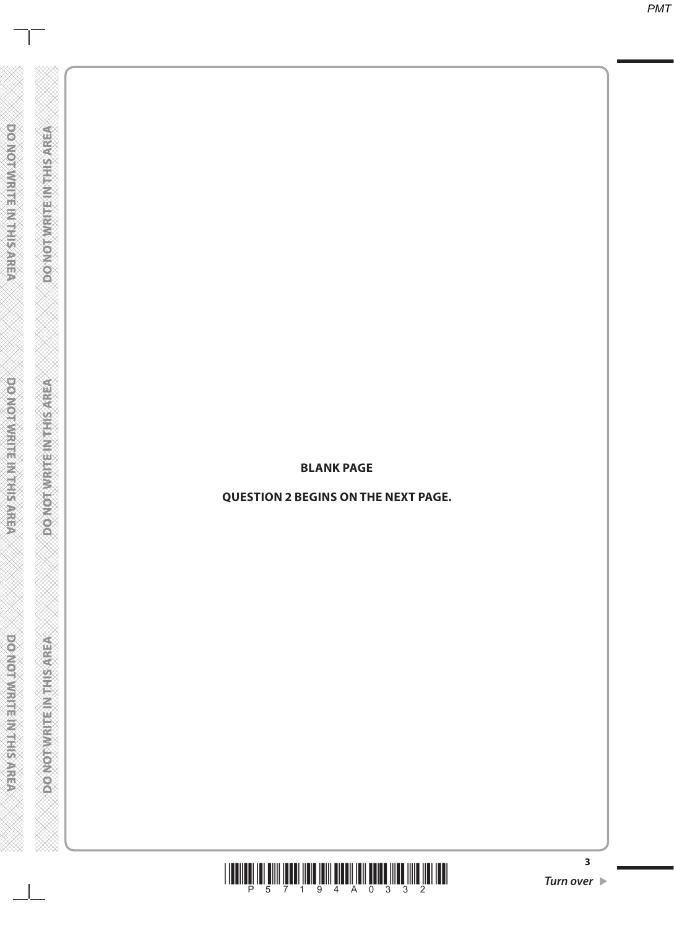population in the state state

**DO NOT WRITE IN THIS AREA** 

**PONOTWRITEINTHIS AREA** 

**DO NOT WRITE IN THIS AREA** 

#### **BLANK PAGE**

**QUESTION 2 BEGINS ON THE NEXT PAGE.**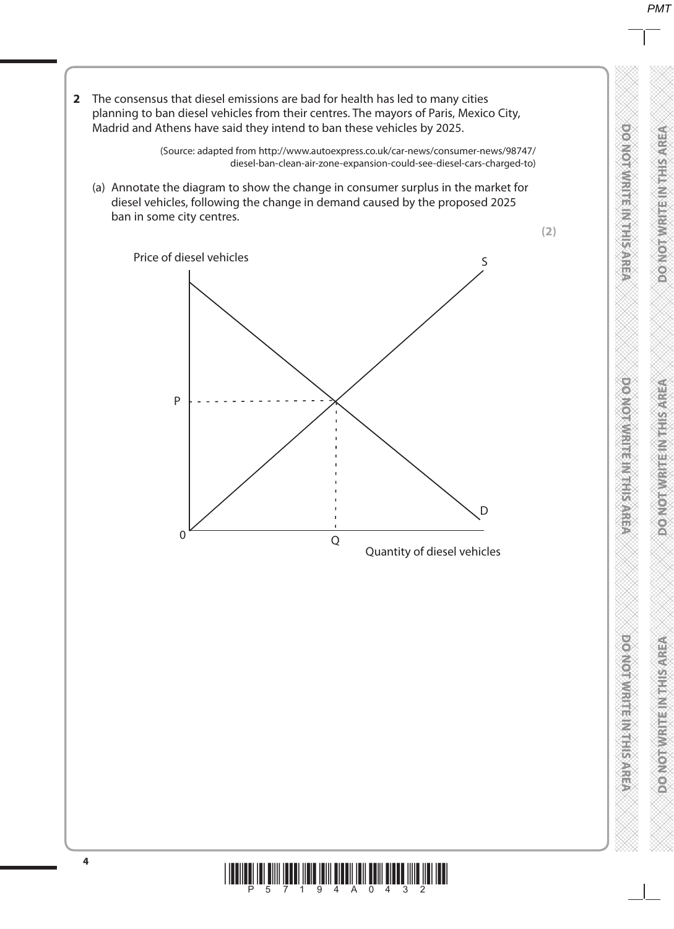**2** The consensus that diesel emissions are bad for health has led to many cities planning to ban diesel vehicles from their centres. The mayors of Paris, Mexico City, Madrid and Athens have said they intend to ban these vehicles by 2025.

> (Source: adapted from http://www.autoexpress.co.uk/car-news/consumer-news/98747/ diesel-ban-clean-air-zone-expansion-could-see-diesel-cars-charged-to)

(a) Annotate the diagram to show the change in consumer surplus in the market for diesel vehicles, following the change in demand caused by the proposed 2025 ban in some city centres.



**(2)**

*PMT*

**RESISTED IN THE PROPERTY OF STRON** 

**PORTOR THE HISTORY** 

**CONGRETATION ENTIRES** 

**Company**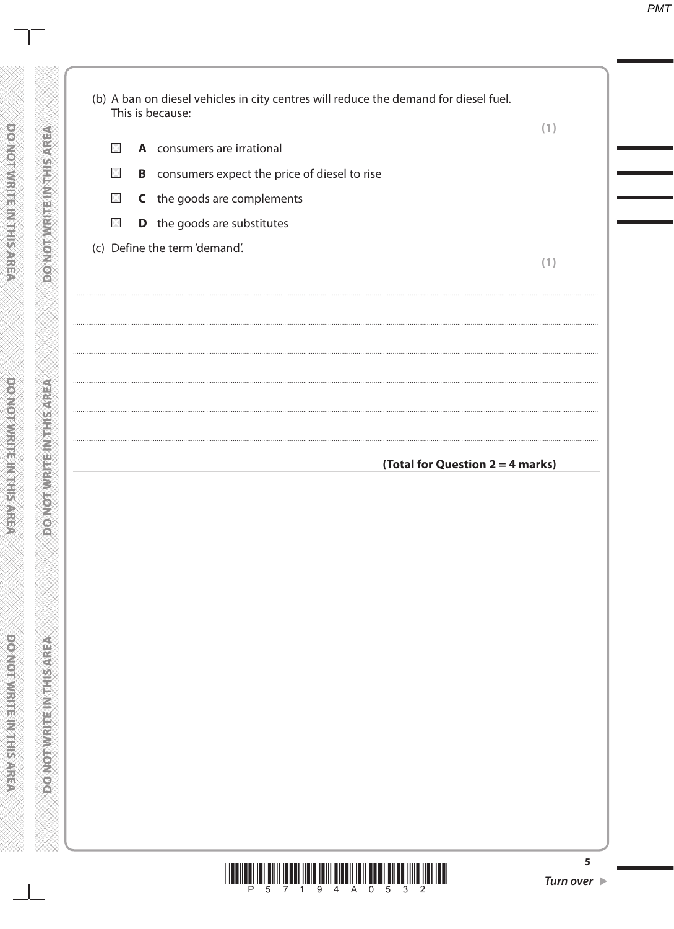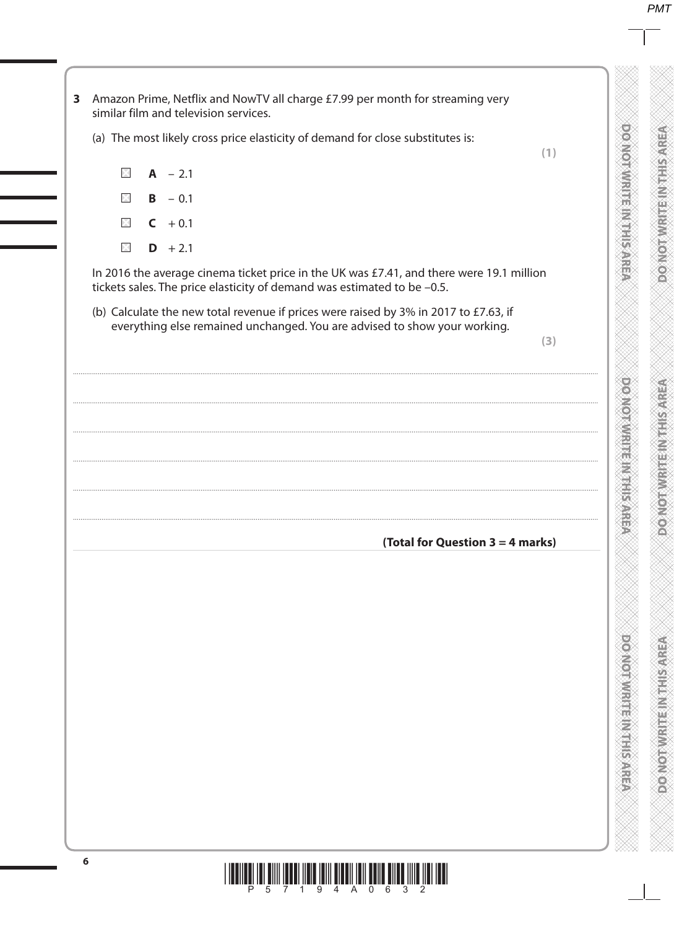| 3 | Amazon Prime, Netflix and NowTV all charge £7.99 per month for streaming very<br>similar film and television services.                                                   |                                  |                              |
|---|--------------------------------------------------------------------------------------------------------------------------------------------------------------------------|----------------------------------|------------------------------|
|   | (a) The most likely cross price elasticity of demand for close substitutes is:<br>(1)                                                                                    |                                  |                              |
|   | $A - 2.1$<br>$\bowtie$                                                                                                                                                   |                                  |                              |
|   | $B - 0.1$<br>$\bowtie$                                                                                                                                                   |                                  |                              |
|   | $\bowtie$<br>$C + 0.1$                                                                                                                                                   |                                  |                              |
|   | $D + 2.1$<br>$\times$                                                                                                                                                    |                                  |                              |
|   | In 2016 the average cinema ticket price in the UK was £7.41, and there were 19.1 million<br>tickets sales. The price elasticity of demand was estimated to be -0.5.      |                                  |                              |
|   | (b) Calculate the new total revenue if prices were raised by 3% in 2017 to £7.63, if<br>everything else remained unchanged. You are advised to show your working.<br>(3) |                                  |                              |
|   | (Total for Question 3 = 4 marks)                                                                                                                                         |                                  | 交                            |
|   |                                                                                                                                                                          | <b>Contenting the Catherines</b> | <b>REPARTMENT MANAGEMENT</b> |
| 6 | <b>TIMLIN</b><br>║║<br>Ш<br>Ш<br>0<br>6<br>Α                                                                                                                             |                                  |                              |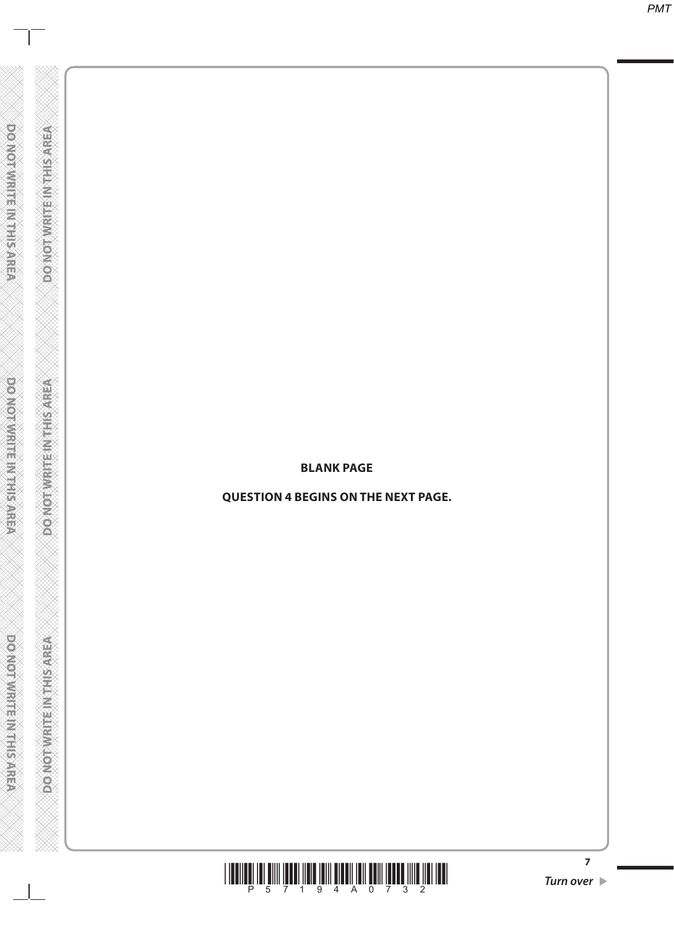**DO NOT WRITE IN THIS AREA** 

**PONOTWRITEINTHIS AREA** 

**DO NOT WRITE IN THIS AREA** 

 $\frac{1}{2}$  **Figure 1.1**  $\frac{1}{2}$  **Figure 1.1**  $\frac{1}{2}$  **Turn over**  $\triangleright$ 

#### **BLANK PAGE**

**QUESTION 4 BEGINS ON THE NEXT PAGE.**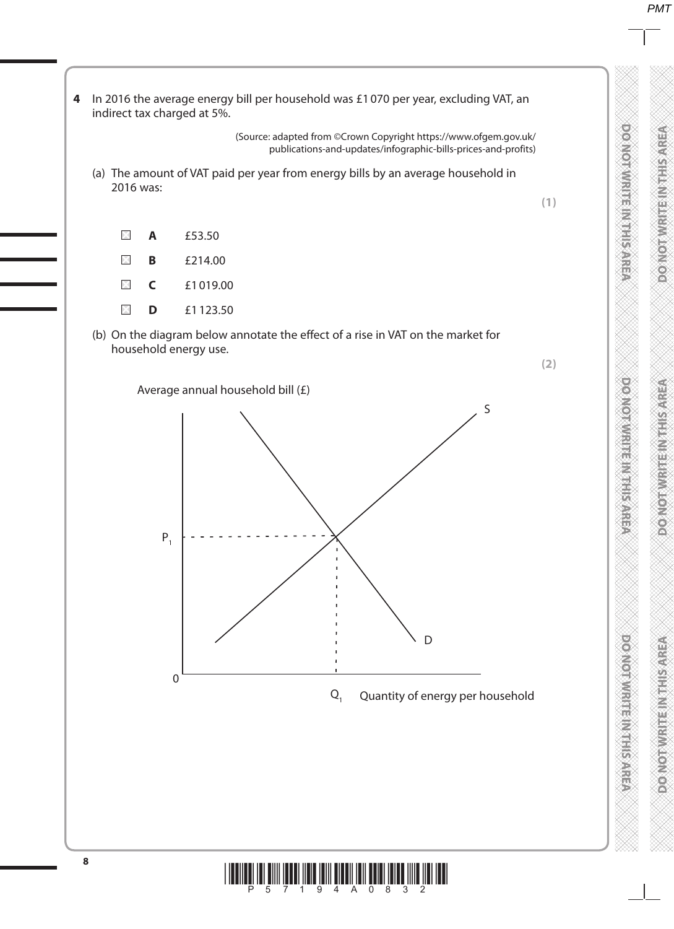

Quantity of energy per household  $Q<sub>1</sub>$ 



*PMT*

**RESISTED IN THE PROPERTY OF STRON** 

**DOMORAGE HAVE** 

¢

*CERT RESIDENT REPAIRING COMPOSITION* 

**DOMORATION IS A PRESENTED**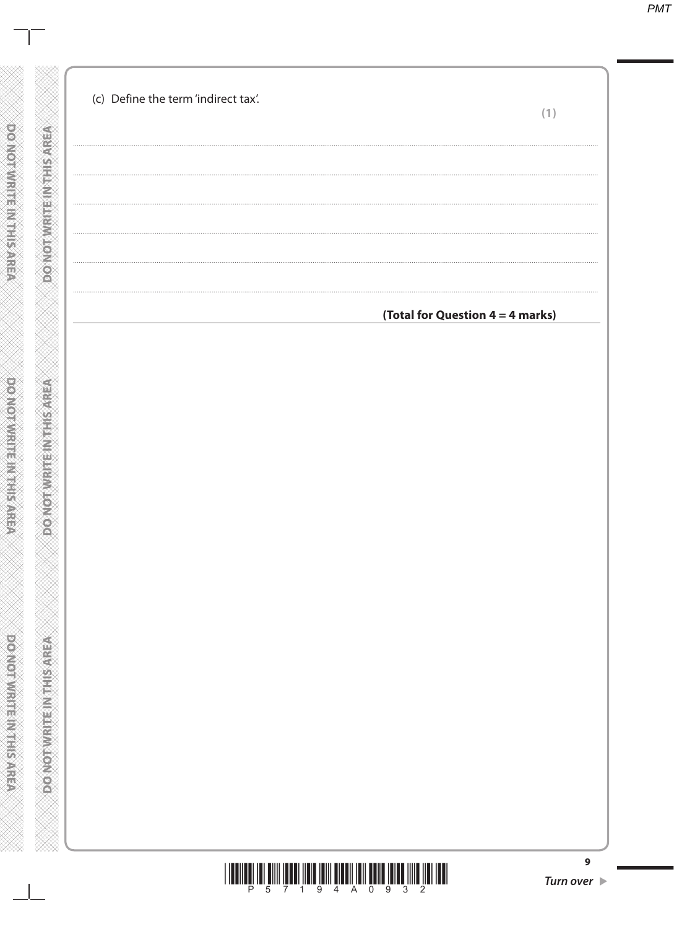| (c) Define the term 'indirect tax'. | (1)                              |
|-------------------------------------|----------------------------------|
|                                     |                                  |
|                                     |                                  |
|                                     |                                  |
|                                     |                                  |
|                                     |                                  |
|                                     | (Total for Question 4 = 4 marks) |
|                                     |                                  |
|                                     |                                  |
|                                     |                                  |
|                                     |                                  |
|                                     |                                  |
|                                     |                                  |
|                                     |                                  |
|                                     |                                  |
|                                     |                                  |
|                                     |                                  |
|                                     |                                  |
|                                     |                                  |
|                                     |                                  |
|                                     |                                  |
|                                     |                                  |
|                                     |                                  |
|                                     |                                  |

**DOO NOT WRITE IN THIS AREA** 

**DO NOT WRITE IN THIS AREA** 

**DOMOTIVIRITE IN THIS AREA**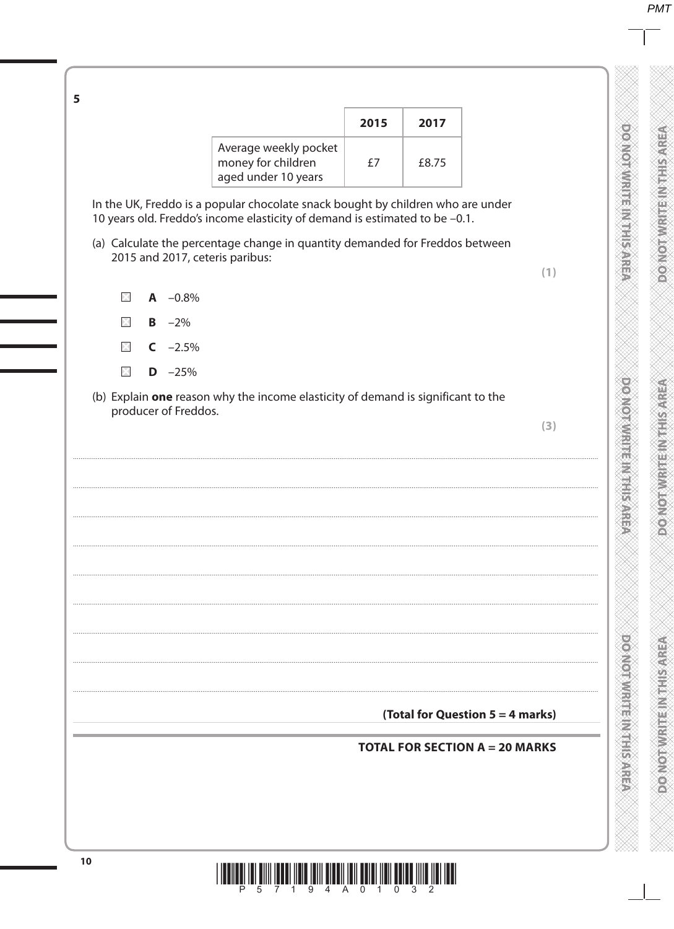|          |   |           |                                                                                                                                                                | 2015 | 2017                             |     |
|----------|---|-----------|----------------------------------------------------------------------------------------------------------------------------------------------------------------|------|----------------------------------|-----|
|          |   |           | Average weekly pocket<br>money for children<br>aged under 10 years                                                                                             | £7   | £8.75                            |     |
|          |   |           | In the UK, Freddo is a popular chocolate snack bought by children who are under<br>10 years old. Freddo's income elasticity of demand is estimated to be -0.1. |      |                                  |     |
|          |   |           | (a) Calculate the percentage change in quantity demanded for Freddos between<br>2015 and 2017, ceteris paribus:                                                |      |                                  | (1) |
|          | A | $-0.8%$   |                                                                                                                                                                |      |                                  |     |
|          | B | $-2\%$    |                                                                                                                                                                |      |                                  |     |
| $\times$ |   | $C -2.5%$ |                                                                                                                                                                |      |                                  |     |
| $\times$ | D | $-25%$    |                                                                                                                                                                |      |                                  |     |
|          |   |           |                                                                                                                                                                |      |                                  |     |
|          |   |           |                                                                                                                                                                |      | (Total for Question 5 = 4 marks) |     |

**DONOT WRITE INTHIS AREA** 

**PONOTWRITEINTHISAREA** 

**DO NOTWRITEIN THIS AREA**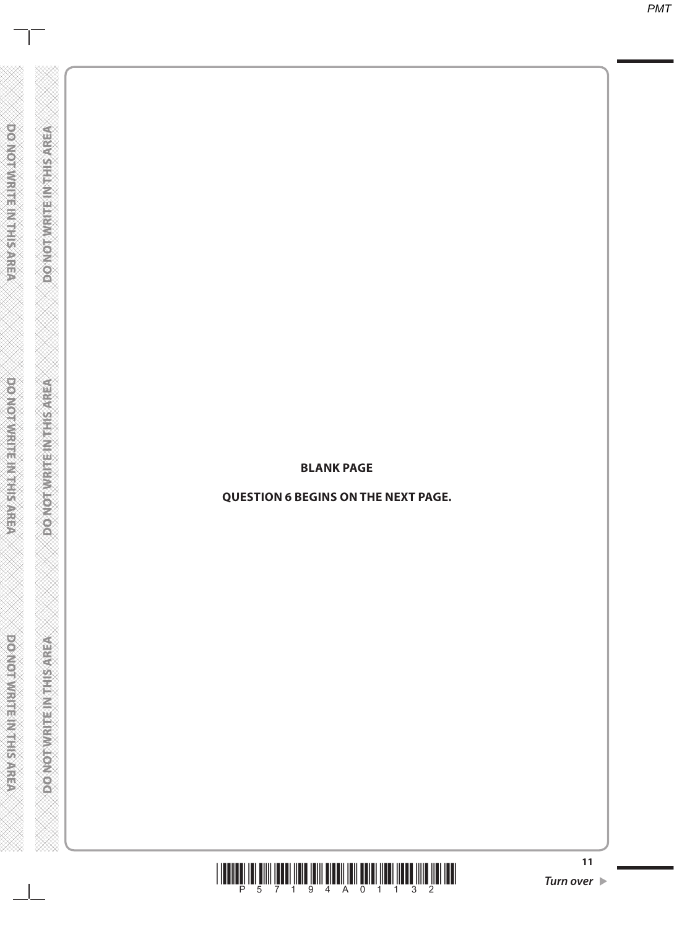**DONOTWRITE IN THIS AREA** 

**DONOTWRITEINTHISAREA** 

**PONOTWRITEINTHIS AREA** 

 $\frac{1}{2}$  *Turn over*  $\frac{1}{2}$ 

#### **BLANK PAGE**

**QUESTION 6 BEGINS ON THE NEXT PAGE.**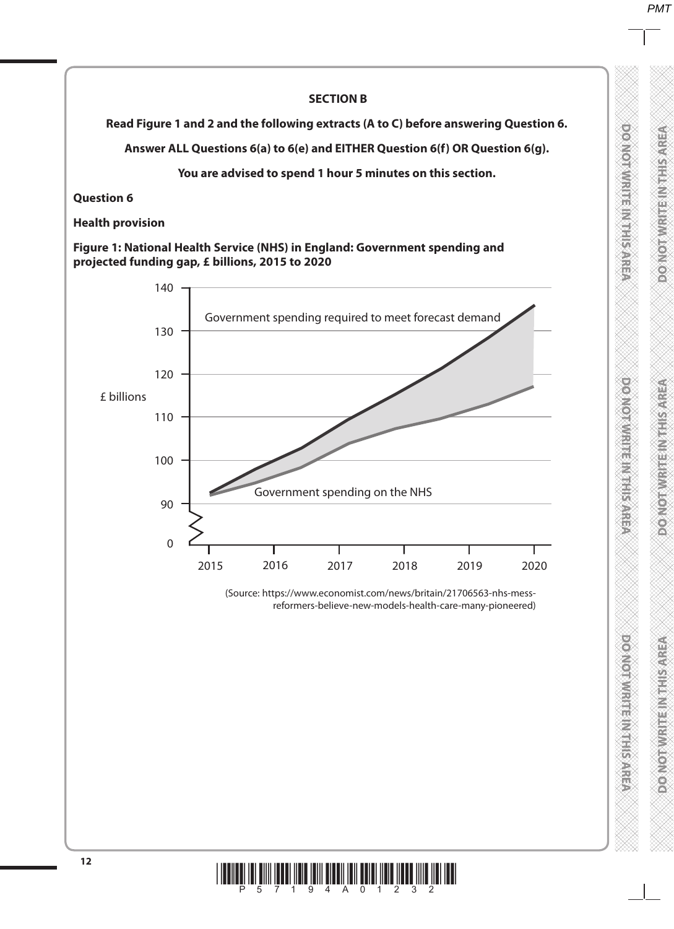# **DORNO RUNAWER NAMES NEWS RESISTED IN THE PROPERTY OF STRON PORTOR THE HISTORY** City<br>City

**PONOTHUR TENNISONER** 

please the result of the state of the state of

#### **SECTION B**

**Read Figure 1 and 2 and the following extracts (A to C) before answering Question 6.**

**Answer ALL Questions 6(a) to 6(e) and EITHER Question 6(f) OR Question 6(g).**

**You are advised to spend 1 hour 5 minutes on this section.**

#### **Question 6**

#### **Health provision**

**Figure 1: National Health Service (NHS) in England: Government spending and projected funding gap, £ billions, 2015 to 2020**



(Source: https://www.economist.com/news/britain/21706563-nhs-messreformers-believe-new-models-health-care-many-pioneered)

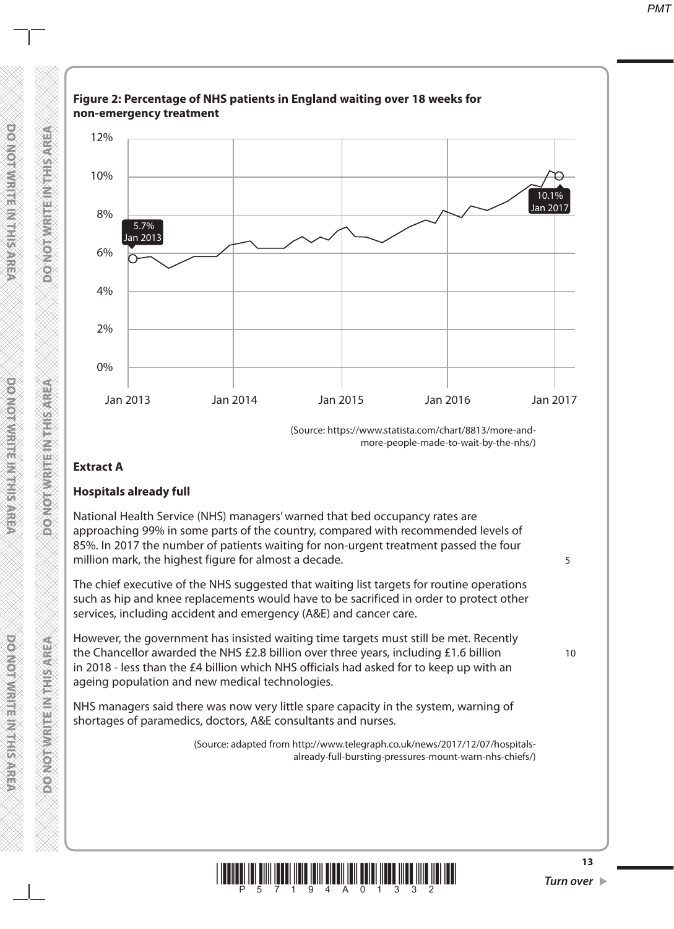

**CON ORNING REAL PROPERTY** 

**POSTORY CONTRACTOR** 

 $\frac{1}{2}$ 

#### NHS managers said there was now very little spare capacity in the system, warning of shortages of paramedics, doctors, A&E consultants and nurses.

(Source: adapted from http://www.telegraph.co.uk/news/2017/12/07/hospitalsalready-full-bursting-pressures-mount-warn-nhs-chiefs/)



5

10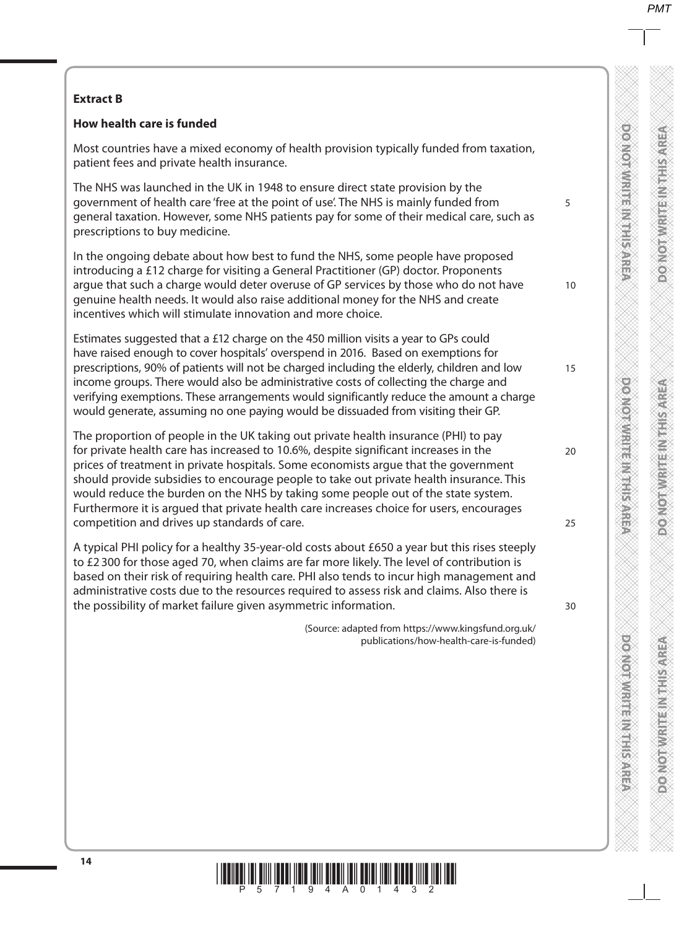#### **Extract B**

#### **How health care is funded**

Most countries have a mixed economy of health provision typically funded from taxation, patient fees and private health insurance.

The NHS was launched in the UK in 1948 to ensure direct state provision by the government of health care 'free at the point of use'. The NHS is mainly funded from general taxation. However, some NHS patients pay for some of their medical care, such as prescriptions to buy medicine.

In the ongoing debate about how best to fund the NHS, some people have proposed introducing a £12 charge for visiting a General Practitioner (GP) doctor. Proponents argue that such a charge would deter overuse of GP services by those who do not have genuine health needs. It would also raise additional money for the NHS and create incentives which will stimulate innovation and more choice.

Estimates suggested that a £12 charge on the 450 million visits a year to GPs could have raised enough to cover hospitals' overspend in 2016. Based on exemptions for prescriptions, 90% of patients will not be charged including the elderly, children and low income groups. There would also be administrative costs of collecting the charge and verifying exemptions. These arrangements would significantly reduce the amount a charge would generate, assuming no one paying would be dissuaded from visiting their GP.

The proportion of people in the UK taking out private health insurance (PHI) to pay for private health care has increased to 10.6%, despite significant increases in the prices of treatment in private hospitals. Some economists argue that the government should provide subsidies to encourage people to take out private health insurance. This would reduce the burden on the NHS by taking some people out of the state system. Furthermore it is argued that private health care increases choice for users, encourages competition and drives up standards of care.

A typical PHI policy for a healthy 35-year-old costs about £650 a year but this rises steeply to £2300 for those aged 70, when claims are far more likely. The level of contribution is based on their risk of requiring health care. PHI also tends to incur high management and administrative costs due to the resources required to assess risk and claims. Also there is the possibility of market failure given asymmetric information.

> (Source: adapted from https://www.kingsfund.org.uk/ publications/how-health-care-is-funded)



**SONORNIAIS NOTE PONCERT REPORTS ON A** 

**PORTORIAL PROPERTY** 

**DOMOINTER HER HARDER** 

5

10

15

20

25

30

**DOCKLOTAWRED NEWSFIRMS**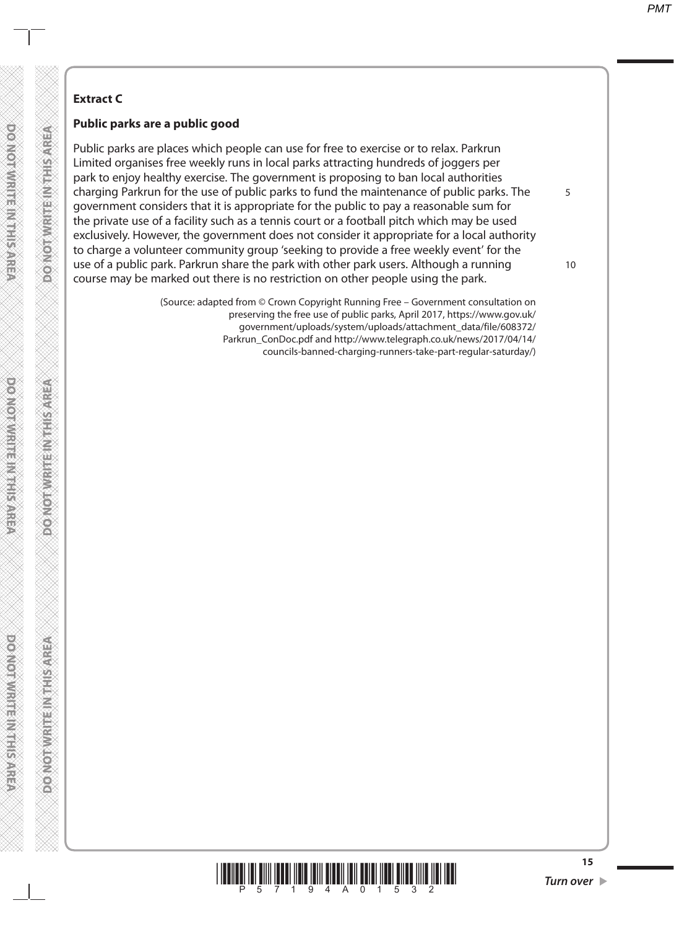#### **Public parks are a public good**

Public parks are places which people can use for free to exercise or to relax. Parkrun Limited organises free weekly runs in local parks attracting hundreds of joggers per park to enjoy healthy exercise. The government is proposing to ban local authorities charging Parkrun for the use of public parks to fund the maintenance of public parks. The government considers that it is appropriate for the public to pay a reasonable sum for the private use of a facility such as a tennis court or a football pitch which may be used exclusively. However, the government does not consider it appropriate for a local authority to charge a volunteer community group 'seeking to provide a free weekly event' for the use of a public park. Parkrun share the park with other park users. Although a running course may be marked out there is no restriction on other people using the park.

> (Source: adapted from © Crown Copyright Running Free – Government consultation on preserving the free use of public parks, April 2017, https://www.gov.uk/ government/uploads/system/uploads/attachment\_data/file/608372/ Parkrun\_ConDoc.pdf and http://www.telegraph.co.uk/news/2017/04/14/ councils-banned-charging-runners-take-part-regular-saturday/)



5

10

**DOMORATIVE METAL STREET** 

**CHARGE AND REAL AND CHARGE** 

**THE STREET** 

ê

**DONG** 

THE SAMPLE

DONNOT

**PONOTOWRITE(NATILISARE)**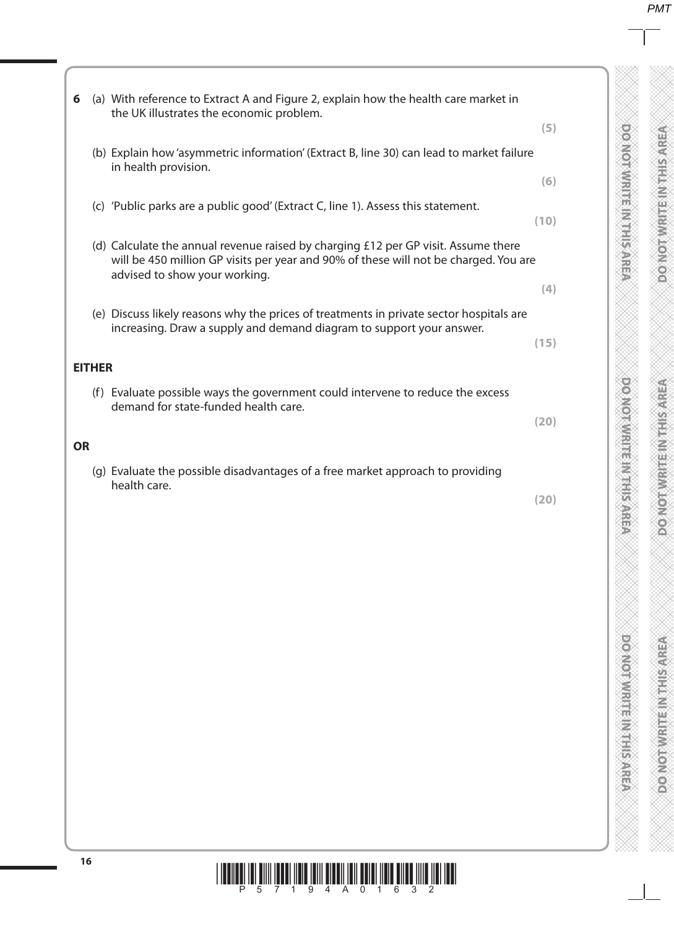**DONOTWRITE IN THIS AREA** 

**DOOKOVINEINTHATHIS AREA** 

**PONOTWRITE INTHISTREA** 

**DONOTWRITEINTHSAREA** 

| 6         |               | (a) With reference to Extract A and Figure 2, explain how the health care market in<br>the UK illustrates the economic problem.                                                                             |      |
|-----------|---------------|-------------------------------------------------------------------------------------------------------------------------------------------------------------------------------------------------------------|------|
|           |               |                                                                                                                                                                                                             | (5)  |
|           |               | (b) Explain how 'asymmetric information' (Extract B, line 30) can lead to market failure<br>in health provision.                                                                                            |      |
|           |               |                                                                                                                                                                                                             | (6)  |
|           |               | (c) 'Public parks are a public good' (Extract C, line 1). Assess this statement.                                                                                                                            |      |
|           |               |                                                                                                                                                                                                             | (10) |
|           |               | (d) Calculate the annual revenue raised by charging £12 per GP visit. Assume there<br>will be 450 million GP visits per year and 90% of these will not be charged. You are<br>advised to show your working. |      |
|           |               |                                                                                                                                                                                                             | (4)  |
|           |               | (e) Discuss likely reasons why the prices of treatments in private sector hospitals are<br>increasing. Draw a supply and demand diagram to support your answer.                                             | (15) |
|           | <b>EITHER</b> |                                                                                                                                                                                                             |      |
|           |               |                                                                                                                                                                                                             |      |
|           |               | (f) Evaluate possible ways the government could intervene to reduce the excess<br>demand for state-funded health care.                                                                                      |      |
|           |               |                                                                                                                                                                                                             | (20) |
|           |               |                                                                                                                                                                                                             |      |
| <b>OR</b> |               |                                                                                                                                                                                                             |      |
|           |               | (q) Evaluate the possible disadvantages of a free market approach to providing<br>health care.                                                                                                              |      |
|           |               |                                                                                                                                                                                                             | (20) |



DOMOTOWARE IN THE IS AREA

\*P57194A01632\* **<sup>16</sup>**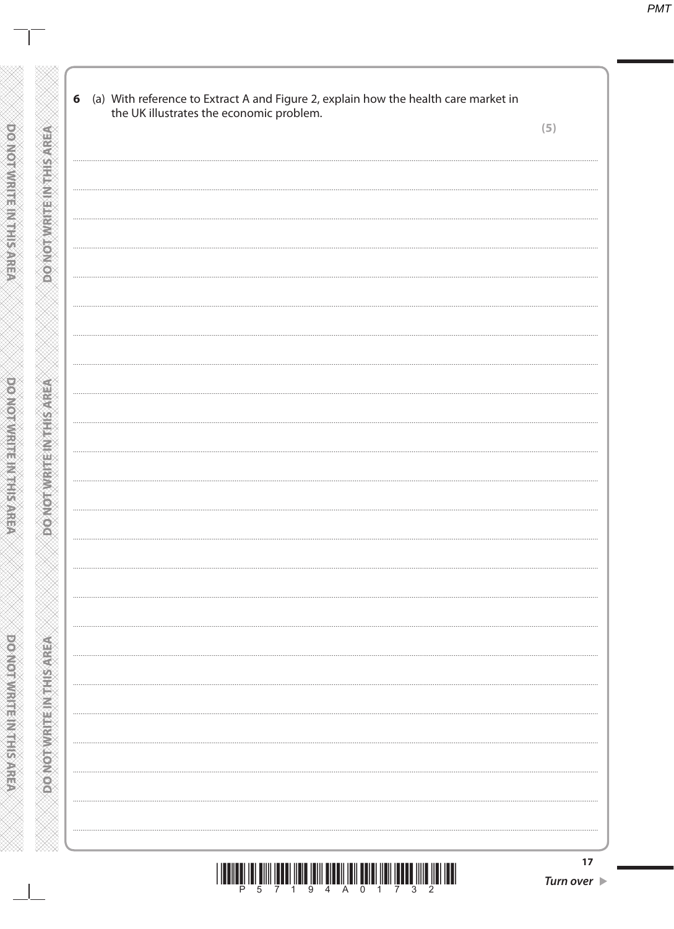| the UK illustrates the economic problem. | (5) |
|------------------------------------------|-----|
|                                          |     |
|                                          |     |
|                                          |     |
|                                          |     |
|                                          |     |
|                                          |     |
|                                          |     |
|                                          |     |
|                                          |     |
|                                          |     |
|                                          |     |
|                                          |     |
|                                          |     |
|                                          |     |
|                                          |     |
|                                          |     |
|                                          |     |
|                                          |     |
|                                          |     |
|                                          |     |
|                                          |     |
|                                          |     |
|                                          |     |
|                                          |     |

DONOTWRITEINGHEAREA

**DO NO WRITEIN ESSERVER** 

**DOOMRITEINTSKRAAR**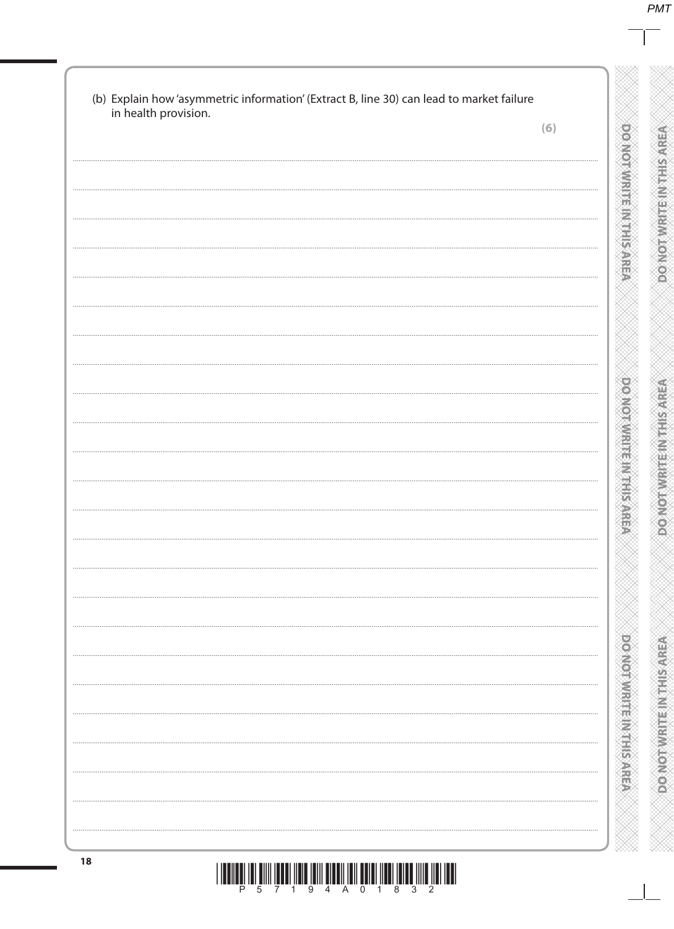| in health provision. | (6) |                                          |
|----------------------|-----|------------------------------------------|
|                      |     |                                          |
|                      |     | <b>NO. NEW PRESSURE</b>                  |
|                      |     |                                          |
|                      |     |                                          |
|                      |     |                                          |
|                      |     |                                          |
|                      |     |                                          |
|                      |     |                                          |
|                      |     |                                          |
|                      |     |                                          |
|                      |     |                                          |
|                      |     |                                          |
|                      |     | <b>CONONDIAN STREE</b>                   |
|                      |     |                                          |
|                      |     |                                          |
|                      |     |                                          |
|                      |     | 美汉                                       |
|                      |     |                                          |
|                      |     |                                          |
|                      |     |                                          |
|                      |     |                                          |
|                      |     |                                          |
|                      |     |                                          |
|                      |     |                                          |
|                      |     |                                          |
|                      |     |                                          |
|                      |     |                                          |
|                      |     |                                          |
|                      |     |                                          |
|                      |     | <b>Pleasure must use that is a state</b> |
|                      |     |                                          |
|                      |     |                                          |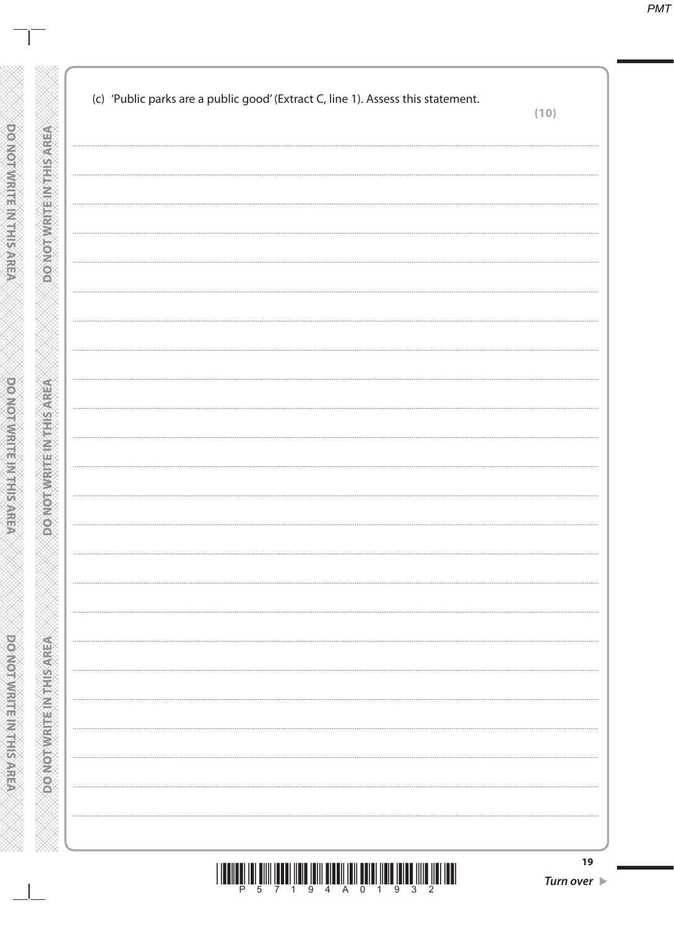| (c) 'Public parks are a public good' (Extract C, line 1). Assess this statement.                                                                                                                                                                                                                                                                                                                                                                              | (10) |
|---------------------------------------------------------------------------------------------------------------------------------------------------------------------------------------------------------------------------------------------------------------------------------------------------------------------------------------------------------------------------------------------------------------------------------------------------------------|------|
|                                                                                                                                                                                                                                                                                                                                                                                                                                                               |      |
|                                                                                                                                                                                                                                                                                                                                                                                                                                                               |      |
|                                                                                                                                                                                                                                                                                                                                                                                                                                                               |      |
|                                                                                                                                                                                                                                                                                                                                                                                                                                                               |      |
|                                                                                                                                                                                                                                                                                                                                                                                                                                                               |      |
|                                                                                                                                                                                                                                                                                                                                                                                                                                                               |      |
|                                                                                                                                                                                                                                                                                                                                                                                                                                                               |      |
|                                                                                                                                                                                                                                                                                                                                                                                                                                                               |      |
|                                                                                                                                                                                                                                                                                                                                                                                                                                                               |      |
|                                                                                                                                                                                                                                                                                                                                                                                                                                                               |      |
|                                                                                                                                                                                                                                                                                                                                                                                                                                                               |      |
|                                                                                                                                                                                                                                                                                                                                                                                                                                                               |      |
|                                                                                                                                                                                                                                                                                                                                                                                                                                                               |      |
|                                                                                                                                                                                                                                                                                                                                                                                                                                                               |      |
|                                                                                                                                                                                                                                                                                                                                                                                                                                                               |      |
|                                                                                                                                                                                                                                                                                                                                                                                                                                                               |      |
|                                                                                                                                                                                                                                                                                                                                                                                                                                                               |      |
|                                                                                                                                                                                                                                                                                                                                                                                                                                                               |      |
|                                                                                                                                                                                                                                                                                                                                                                                                                                                               |      |
|                                                                                                                                                                                                                                                                                                                                                                                                                                                               |      |
|                                                                                                                                                                                                                                                                                                                                                                                                                                                               |      |
|                                                                                                                                                                                                                                                                                                                                                                                                                                                               |      |
|                                                                                                                                                                                                                                                                                                                                                                                                                                                               |      |
|                                                                                                                                                                                                                                                                                                                                                                                                                                                               |      |
|                                                                                                                                                                                                                                                                                                                                                                                                                                                               |      |
|                                                                                                                                                                                                                                                                                                                                                                                                                                                               |      |
|                                                                                                                                                                                                                                                                                                                                                                                                                                                               |      |
|                                                                                                                                                                                                                                                                                                                                                                                                                                                               |      |
|                                                                                                                                                                                                                                                                                                                                                                                                                                                               |      |
| $\begin{array}{c} \text{if} \ \text{if} \ \text{if} \ \text{if} \ \text{if} \ \text{if} \ \text{if} \ \text{if} \ \text{if} \ \text{if} \ \text{if} \ \text{if} \ \text{if} \ \text{if} \ \text{if} \ \text{if} \ \text{if} \ \text{if} \ \text{if} \ \text{if} \ \text{if} \ \text{if} \ \text{if} \ \text{if} \ \text{if} \ \text{if} \ \text{if} \ \text{if} \ \text{if} \ \text{if} \ \text{if} \ \text{if} \ \text{if} \ \text{if} \ \text{if} \ \text{$ |      |

DO NOTWRITE IN THIS AREA

**DOWNWRITEINIANS** 

**DO NOT WEITER MITHS AREA**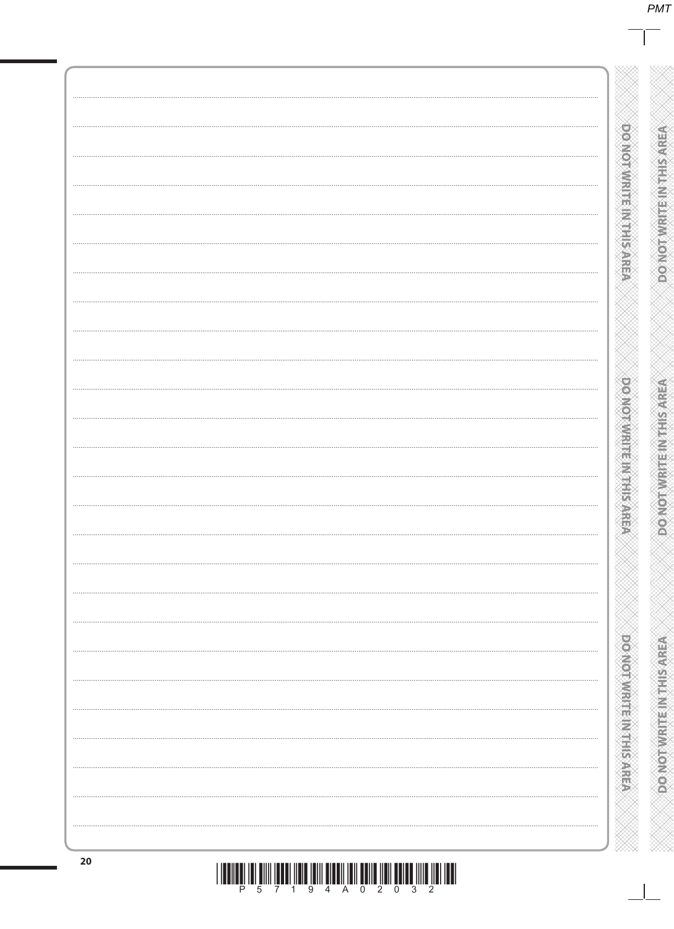| Ĵ              |        |
|----------------|--------|
|                |        |
|                |        |
|                | Ö)     |
|                |        |
|                |        |
|                |        |
| ĥ<br>٦         | ï<br>1 |
|                |        |
|                |        |
| ć              |        |
| ¥<br>ø<br>Ŵ.   |        |
| ť              |        |
| Ď<br>m         |        |
| ۳              |        |
|                |        |
|                |        |
|                |        |
|                |        |
|                |        |
|                |        |
|                |        |
|                |        |
|                |        |
|                | €      |
|                | Ñ<br>4 |
|                |        |
|                |        |
|                |        |
|                |        |
|                |        |
| ÔĴ             | ių,    |
|                |        |
|                |        |
| ×.             |        |
| ÙÁ             |        |
|                |        |
| 7<br>J         |        |
| iy.            |        |
|                |        |
|                |        |
|                |        |
|                |        |
|                |        |
|                |        |
|                |        |
|                |        |
|                |        |
|                |        |
| ڸ              | Š<br>適 |
|                | ρč     |
|                | ý      |
|                | Ì<br>ā |
|                |        |
|                |        |
| Ĥ              |        |
| 薁              | Ě      |
|                | ī      |
|                |        |
| 実<br>$\vec{0}$ |        |
| ¥              |        |
|                |        |
| E)<br>U        |        |
| ä<br>â         |        |
|                |        |
|                |        |
|                |        |

##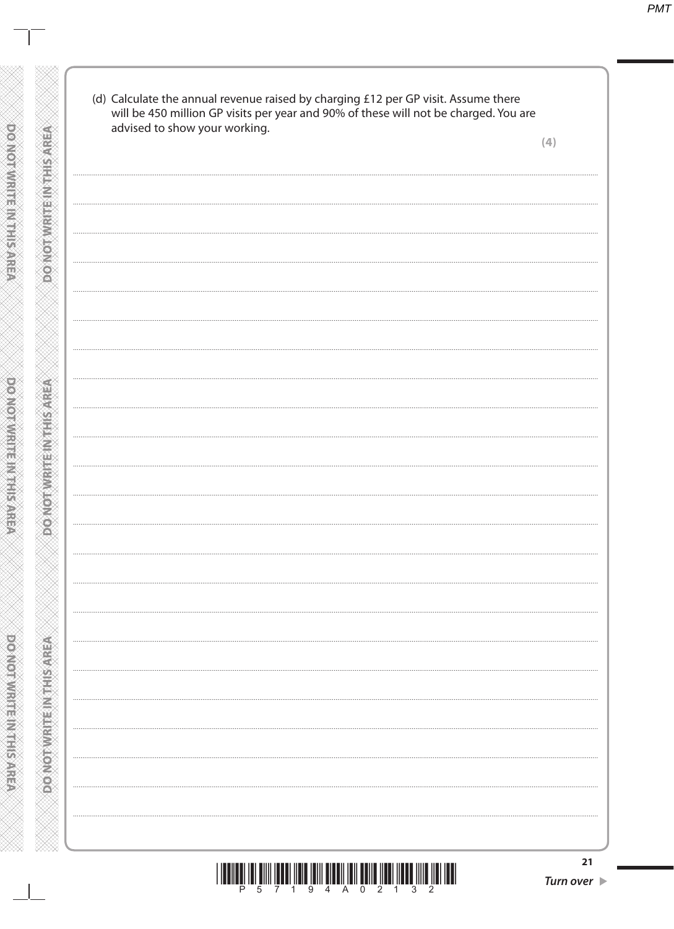| advised to show your working. | (d) Calculate the annual revenue raised by charging £12 per GP visit. Assume there<br>will be 450 million GP visits per year and 90% of these will not be charged. You are |     |
|-------------------------------|----------------------------------------------------------------------------------------------------------------------------------------------------------------------------|-----|
|                               |                                                                                                                                                                            | (4) |
|                               |                                                                                                                                                                            |     |
|                               |                                                                                                                                                                            |     |
|                               |                                                                                                                                                                            |     |
|                               |                                                                                                                                                                            |     |
|                               |                                                                                                                                                                            |     |
|                               |                                                                                                                                                                            |     |
|                               |                                                                                                                                                                            |     |
|                               |                                                                                                                                                                            |     |
|                               |                                                                                                                                                                            |     |
|                               |                                                                                                                                                                            |     |
|                               |                                                                                                                                                                            |     |
|                               |                                                                                                                                                                            |     |
|                               |                                                                                                                                                                            |     |
|                               |                                                                                                                                                                            |     |
|                               |                                                                                                                                                                            |     |
|                               |                                                                                                                                                                            |     |
|                               |                                                                                                                                                                            |     |
|                               |                                                                                                                                                                            |     |
|                               |                                                                                                                                                                            |     |
|                               |                                                                                                                                                                            |     |
|                               |                                                                                                                                                                            |     |
|                               |                                                                                                                                                                            |     |
|                               |                                                                                                                                                                            |     |
|                               |                                                                                                                                                                            |     |
|                               |                                                                                                                                                                            |     |
|                               |                                                                                                                                                                            |     |
|                               | <u> IIII I EEN JITIL JITIL PERITTI JITIL JITIL JITIL JITIL JITIL J</u><br><u>i ili ili ili</u>                                                                             |     |

**DO NOT WRITE IN THIS AREA** 

**DO NO MURITER NEEDS ASSESS** 

powerwarenversitewas

Turn over  $\blacktriangleright$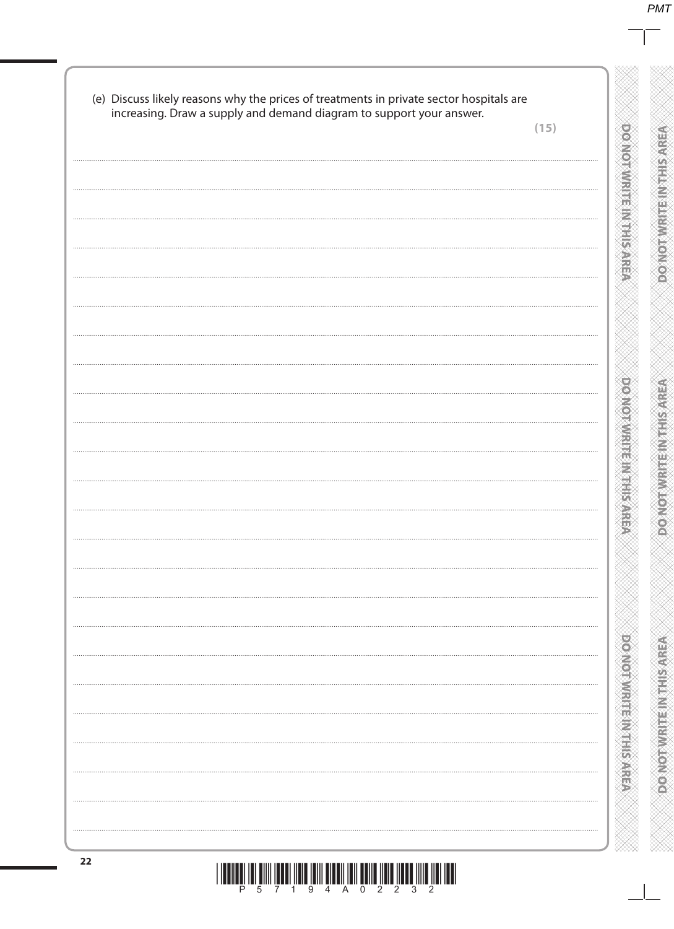| <b>Norwhere</b><br>is an              |
|---------------------------------------|
| <b>CORONAL STATE</b><br>D.            |
| <br><b>DO WORKING THE MAIN SEARCH</b> |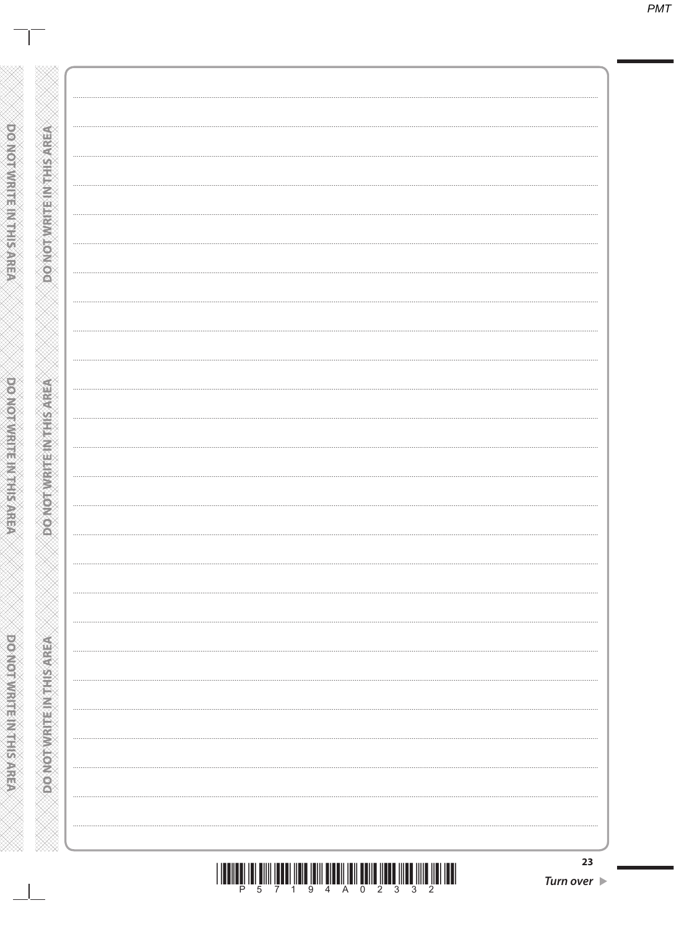| <b>ANGER</b><br>Ŵ<br>ē<br>á<br> |  | <b>DODARD BURGLARY</b> |
|---------------------------------|--|------------------------|
|                                 |  |                        |
|                                 |  |                        |
|                                 |  |                        |
|                                 |  |                        |
|                                 |  |                        |
|                                 |  |                        |
|                                 |  |                        |

 $\mathbb{R}$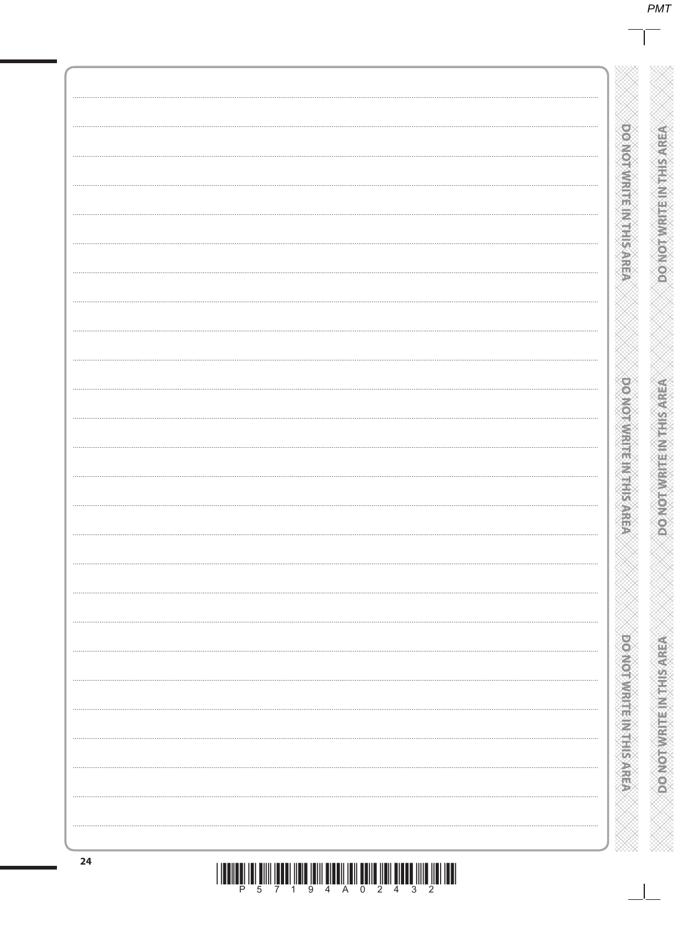| ţ<br>J           | ਵ                     |
|------------------|-----------------------|
|                  | ψī                    |
|                  | o                     |
|                  |                       |
|                  |                       |
|                  | л<br>ţ                |
|                  |                       |
|                  |                       |
|                  |                       |
|                  |                       |
|                  |                       |
| b                |                       |
|                  |                       |
|                  |                       |
|                  |                       |
|                  |                       |
|                  |                       |
| ş                |                       |
|                  |                       |
|                  |                       |
|                  |                       |
|                  |                       |
|                  |                       |
|                  |                       |
|                  |                       |
|                  |                       |
|                  |                       |
|                  |                       |
|                  |                       |
|                  |                       |
|                  |                       |
|                  |                       |
|                  |                       |
|                  |                       |
|                  |                       |
|                  |                       |
|                  |                       |
|                  |                       |
|                  |                       |
|                  |                       |
|                  |                       |
|                  |                       |
|                  |                       |
|                  |                       |
|                  |                       |
|                  |                       |
|                  |                       |
|                  |                       |
|                  |                       |
| I<br>1           |                       |
|                  |                       |
|                  |                       |
|                  |                       |
|                  |                       |
|                  |                       |
|                  |                       |
|                  |                       |
|                  |                       |
|                  |                       |
|                  |                       |
| ı<br>d           |                       |
|                  |                       |
|                  |                       |
|                  |                       |
|                  |                       |
|                  |                       |
|                  |                       |
|                  |                       |
|                  |                       |
|                  |                       |
|                  |                       |
|                  |                       |
|                  | k                     |
|                  |                       |
|                  |                       |
|                  |                       |
|                  |                       |
| Ŏ                | Š                     |
|                  | ĹŨ                    |
| Ď<br>ć           |                       |
| Ź                | ØĆ.                   |
|                  | a<br>k                |
|                  | i.<br>ŋ<br>ł<br>ć     |
| ÷                | ×<br>ù                |
| 2<br>×           | ś<br>é<br>É<br>ś<br>ă |
| ×<br>×           |                       |
| ¥<br>ķ<br>Ļ<br>J | i.                    |
| Ã                | ĕ<br>ł                |
|                  | Š<br>à<br>ś           |
| Ø<br>€<br>×      | M                     |
|                  | į<br>۱                |
|                  | ä                     |
| Ű.               |                       |
|                  |                       |
| ₩<br>ě           |                       |
| ¥                |                       |
| خذ               |                       |
| Ø<br>'n          |                       |
| á                |                       |
|                  |                       |
| e<br>E           | ţ                     |
|                  |                       |
| Ţ                | ť                     |
|                  |                       |
|                  |                       |



| ٠ |  |
|---|--|
|   |  |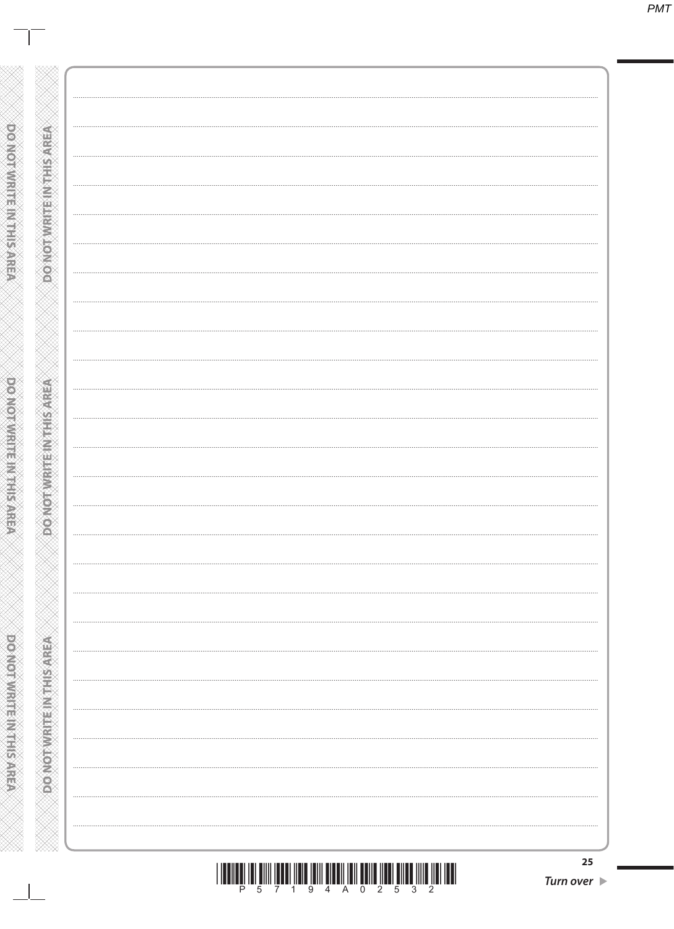| Ś        | <b>ANGER SE</b><br>m<br>Maria<br>Ō |
|----------|------------------------------------|
| <br><br> |                                    |
|          |                                    |
|          |                                    |

 $\mathbb{R}$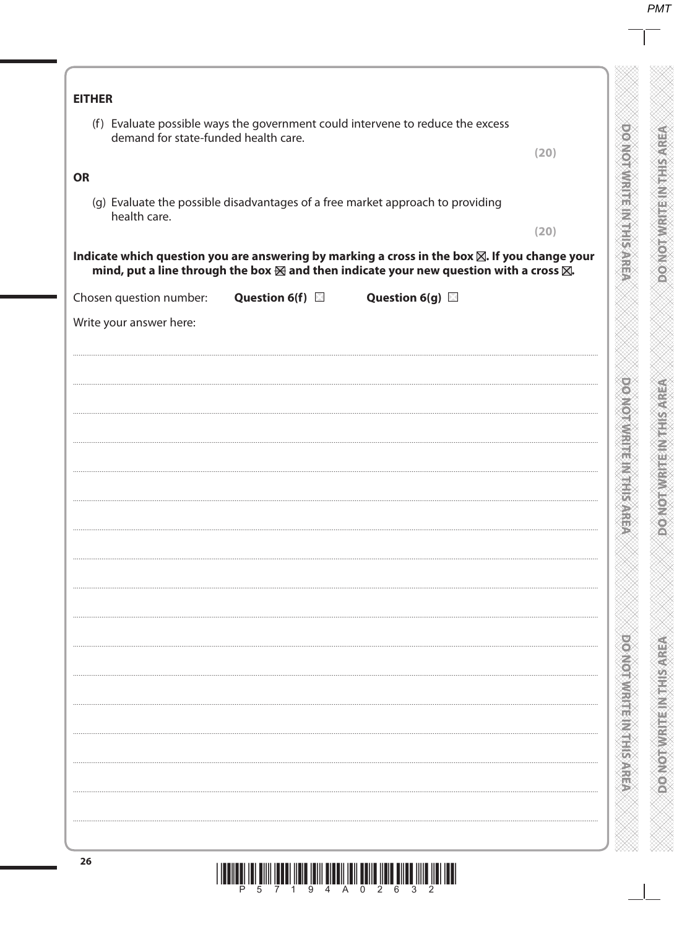| <b>EITHER</b>                                                                                                          |                                    |        |
|------------------------------------------------------------------------------------------------------------------------|------------------------------------|--------|
| (f) Evaluate possible ways the government could intervene to reduce the excess<br>demand for state-funded health care. |                                    |        |
| (20)<br><b>OR</b>                                                                                                      |                                    |        |
| (g) Evaluate the possible disadvantages of a free market approach to providing                                         |                                    |        |
| health care.<br>(20)                                                                                                   |                                    |        |
| Indicate which question you are answering by marking a cross in the box $\boxtimes$ . If you change your               |                                    |        |
| mind, put a line through the box $\boxtimes$ and then indicate your new question with a cross $\boxtimes$ .            |                                    |        |
| Chosen question number: <b>Question 6(f)</b> $\boxtimes$<br>Question $6(g)$                                            |                                    |        |
| Write your answer here:                                                                                                |                                    |        |
|                                                                                                                        |                                    |        |
|                                                                                                                        |                                    |        |
|                                                                                                                        | <b>NO.NURRANE</b>                  |        |
|                                                                                                                        |                                    |        |
|                                                                                                                        |                                    |        |
|                                                                                                                        |                                    |        |
|                                                                                                                        |                                    |        |
|                                                                                                                        |                                    |        |
|                                                                                                                        |                                    |        |
|                                                                                                                        |                                    |        |
|                                                                                                                        |                                    |        |
|                                                                                                                        |                                    | SAARE) |
|                                                                                                                        |                                    |        |
|                                                                                                                        |                                    |        |
|                                                                                                                        | <b>More Williams Control State</b> |        |
|                                                                                                                        |                                    |        |
|                                                                                                                        |                                    |        |
|                                                                                                                        |                                    |        |
|                                                                                                                        |                                    |        |
|                                                                                                                        |                                    |        |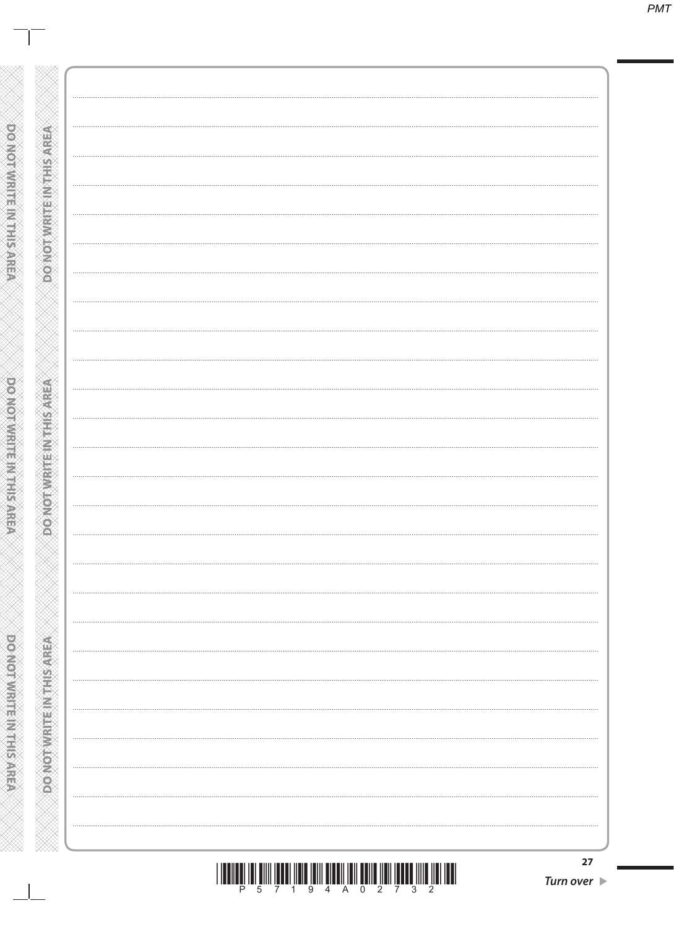| Œ,<br><br><br>É<br><br><br> | <b>PONONNIAN TEL</b><br><b>NAGE START</b> | <b>NOMAN RIVER</b> | <b>Norwissing Marisons</b> |
|-----------------------------|-------------------------------------------|--------------------|----------------------------|
|                             |                                           |                    |                            |
|                             |                                           |                    |                            |
|                             |                                           |                    |                            |
|                             |                                           |                    |                            |
|                             |                                           |                    |                            |

a ka

 $\Box$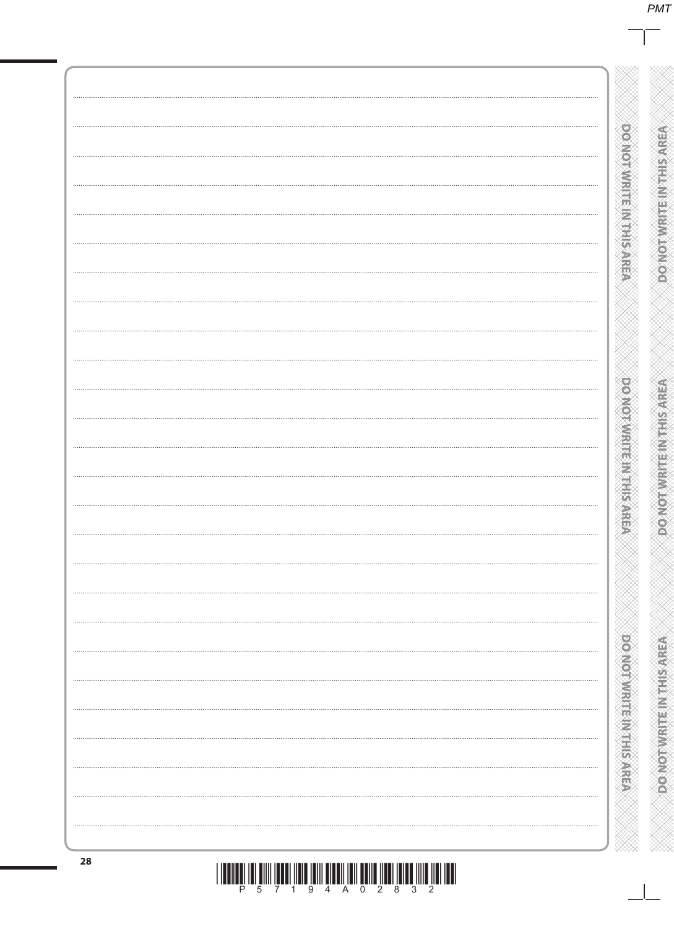|   | Õ<br>ť   | €<br>凾      |
|---|----------|-------------|
|   |          | o<br>ù      |
|   |          |             |
|   |          | Λ           |
|   |          |             |
|   |          |             |
|   |          |             |
|   | bñ       | Ŭ,<br>1     |
|   | ğ        |             |
|   |          |             |
|   |          |             |
|   | ij<br>'n |             |
|   |          |             |
|   | Ť        |             |
|   | m<br>۳   | č           |
|   |          |             |
|   |          |             |
|   |          |             |
|   |          |             |
|   |          |             |
|   |          |             |
|   |          |             |
|   |          |             |
|   |          |             |
|   |          | Š           |
|   | J        | ₩<br>m      |
|   |          | œ<br>ø      |
|   |          |             |
|   |          | €<br>Í<br>ì |
|   |          |             |
|   |          |             |
|   |          |             |
|   |          | n           |
|   |          |             |
|   |          |             |
|   |          |             |
|   |          |             |
|   |          |             |
|   | Гŋ       | C<br>Ĵ      |
|   | ï<br>×   | ĭ           |
|   |          |             |
|   |          |             |
| . |          |             |
|   |          |             |
|   |          |             |
|   |          |             |
|   |          |             |
|   |          |             |
|   |          |             |
|   | ţ<br>Ì   | ź<br>ì      |
|   |          | à<br>ĹŨ     |
|   |          | č           |
|   |          | ý           |
|   |          |             |
|   |          |             |
|   | Ĭ        |             |
|   | Ì<br>€   |             |
|   | 耍        | ı           |
|   | ĭ        |             |
|   | ≚        |             |
|   | 寠        |             |
|   |          |             |
|   |          |             |
|   |          |             |
|   |          |             |
|   |          |             |
|   |          |             |
|   |          |             |

|  |  |  |  | <u> ITEITET I EIN TEILIN EIN SEIT TEILIN EIN SEIT TEILIN I EIN SEIT TEILEN I EIN SEIT T</u> |  |  |
|--|--|--|--|---------------------------------------------------------------------------------------------|--|--|
|  |  |  |  | P 5 7 1 9 4 A 0 2 8 3 2                                                                     |  |  |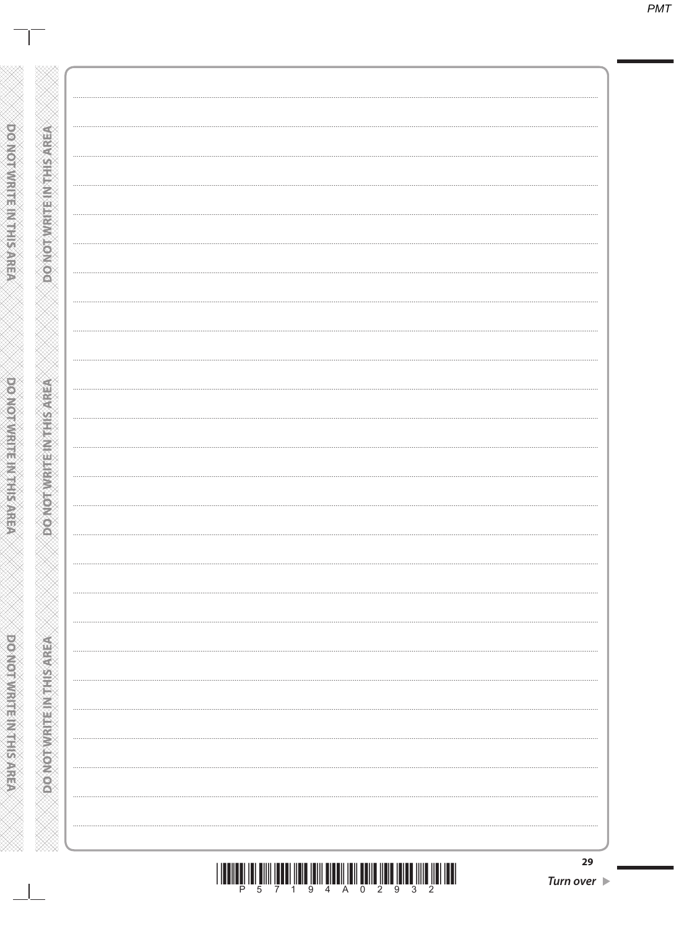|              | $\frac{2}{3}$<br><b>Manazi</b> | HSABA<br><b>CONSTRUCTION</b> |
|--------------|--------------------------------|------------------------------|
| <br><br><br> |                                |                              |
|              |                                |                              |
|              |                                |                              |

 $\sim 1$ 

 $\Box$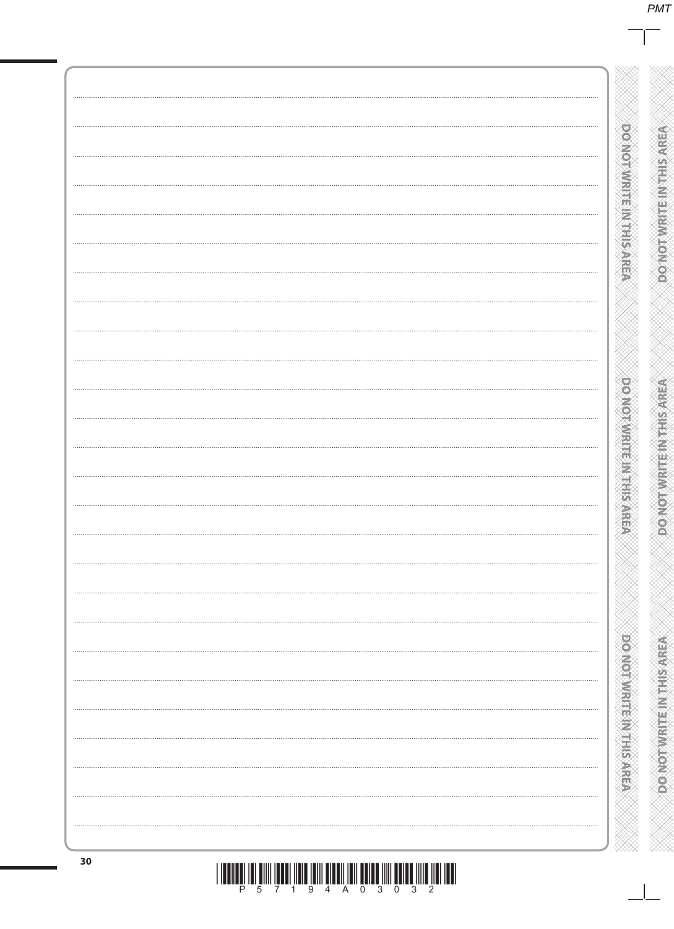|   | O             | É      |
|---|---------------|--------|
|   |               |        |
|   |               | ñč     |
|   |               | ğ      |
|   |               |        |
|   |               | Ŭ.     |
|   |               | ì      |
|   |               |        |
|   |               | ł      |
|   |               |        |
|   |               |        |
|   | Гŋ            | řΰ     |
|   |               |        |
|   |               |        |
|   |               |        |
|   | ₩             |        |
|   | 釜             |        |
|   | Ŵ             |        |
|   |               |        |
|   | J.            |        |
|   | Ħ             |        |
|   | ГI.           |        |
|   | P             |        |
|   |               |        |
|   |               |        |
|   |               |        |
|   |               |        |
|   |               |        |
|   |               |        |
|   |               |        |
|   |               |        |
|   |               |        |
|   |               |        |
|   |               |        |
|   |               |        |
|   |               |        |
|   |               |        |
|   |               |        |
|   |               | ۲      |
|   |               | ĹП     |
|   |               | ż      |
|   |               |        |
|   |               |        |
|   |               | ¢<br>ä |
|   |               |        |
|   |               |        |
|   |               |        |
|   |               |        |
|   |               |        |
|   | ĥЙ            | m      |
|   |               |        |
|   |               |        |
|   |               |        |
|   |               |        |
|   | ī.            |        |
|   |               |        |
|   | 'n            |        |
|   |               |        |
|   |               |        |
|   | Ū             | O      |
|   | ă             |        |
|   |               | ĭ      |
|   |               |        |
|   |               |        |
|   |               |        |
| . |               |        |
|   |               |        |
|   |               |        |
|   |               |        |
|   |               |        |
|   |               |        |
|   |               |        |
|   |               |        |
|   |               |        |
|   |               |        |
|   |               |        |
|   |               |        |
|   | Ò             |        |
|   |               |        |
|   | $\frac{1}{2}$ |        |
|   |               | 籆      |
|   | ¥             |        |
|   | اپ            | ò.     |
|   | Š             |        |
|   | é             | ĺ      |
|   |               |        |
|   |               | ₩      |
|   |               |        |
|   |               | ýΫ     |
|   |               | ₩      |
|   |               |        |
|   |               |        |
|   |               |        |
|   |               |        |
|   |               |        |
|   |               |        |
|   | S. Little     |        |
|   |               |        |
|   |               |        |
|   |               |        |
|   |               |        |
|   | Ť             |        |
|   |               |        |
|   |               |        |
|   |               |        |
|   |               |        |

| <u> III AN DI AN TIN NG KATILIK NG KATILIK NG KATILIK NG KATILIk NG KATILIk NG KATILIk NG KATILIk NG KATILIk NG K</u> |  |                         |  |  |  |  |  |
|-----------------------------------------------------------------------------------------------------------------------|--|-------------------------|--|--|--|--|--|
|                                                                                                                       |  | P 5 7 1 9 4 A 0 3 0 3 2 |  |  |  |  |  |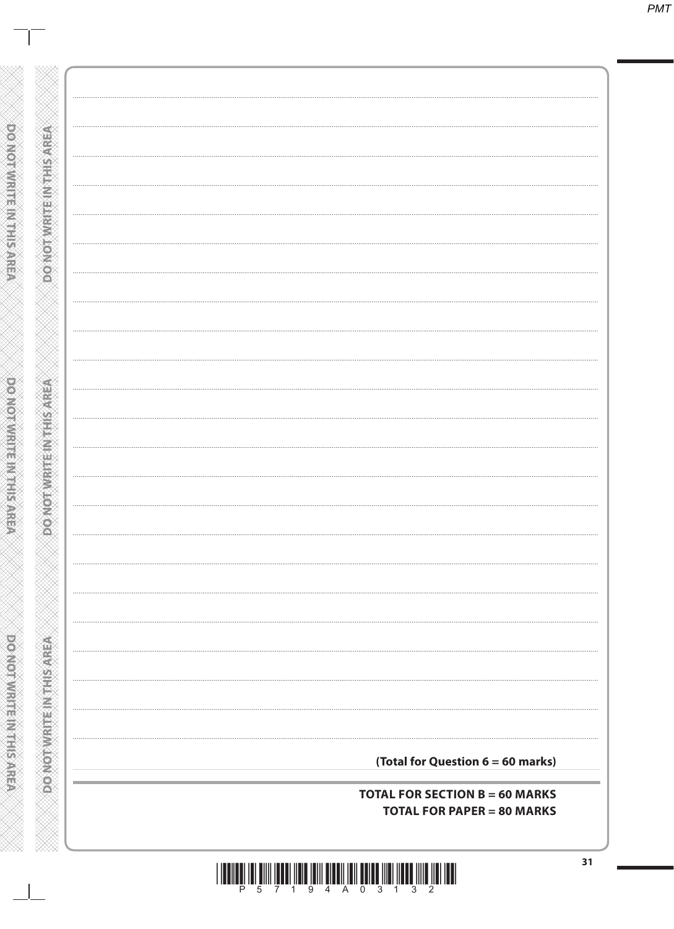|         | (Total for Question 6 = 60 marks) |
|---------|-----------------------------------|
| Ø<br>û  |                                   |
| is<br>S |                                   |